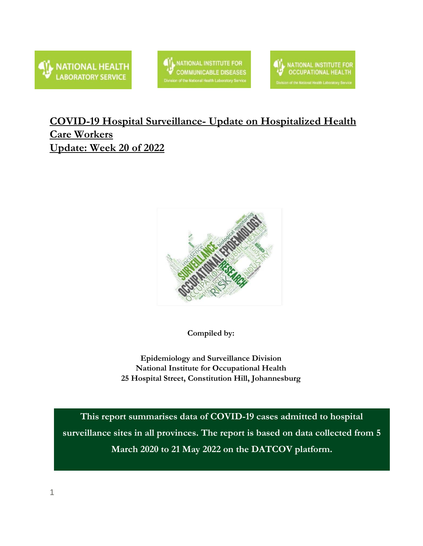

NATIONAL INSTITUTE FOR **COMMUNICABLE DISEASES** n of the National Health Laboratory Service



### **COVID-19 Hospital Surveillance- Update on Hospitalized Health Care Workers Update: Week 20 of 2022**



**Compiled by:**

**Epidemiology and Surveillance Division National Institute for Occupational Health 25 Hospital Street, Constitution Hill, Johannesburg**

**This report summarises data of COVID-19 cases admitted to hospital surveillance sites in all provinces. The report is based on data collected from 5 March 2020 to 21 May 2022 on the DATCOV platform.**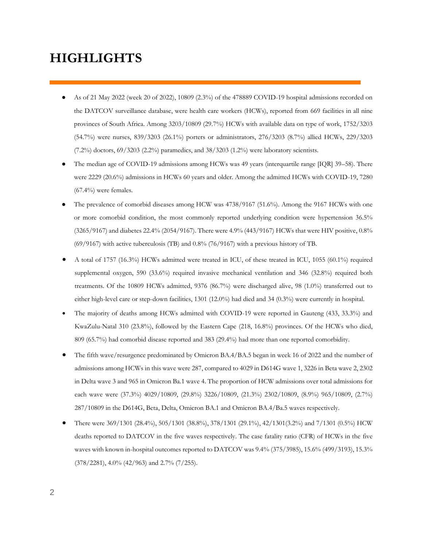## **HIGHLIGHTS**

- As of 21 May 2022 (week 20 of 2022), 10809 (2.3%) of the 478889 COVID-19 hospital admissions recorded on the DATCOV surveillance database, were health care workers (HCWs), reported from 669 facilities in all nine provinces of South Africa. Among 3203/10809 (29.7%) HCWs with available data on type of work, 1752/3203 (54.7%) were nurses, 839/3203 (26.1%) porters or administrators, 276/3203 (8.7%) allied HCWs, 229/3203  $(7.2\%)$  doctors,  $69/3203$   $(2.2\%)$  paramedics, and  $38/3203$   $(1.2\%)$  were laboratory scientists.
- The median age of COVID-19 admissions among HCWs was 49 years (interquartile range [IQR] 39–58). There were 2229 (20.6%) admissions in HCWs 60 years and older. Among the admitted HCWs with COVID-19, 7280  $(67.4\%)$  were females.
- The prevalence of comorbid diseases among HCW was 4738/9167 (51.6%). Among the 9167 HCWs with one or more comorbid condition, the most commonly reported underlying condition were hypertension 36.5% (3265/9167) and diabetes 22.4% (2054/9167). There were 4.9% (443/9167) HCWs that were HIV positive, 0.8% (69/9167) with active tuberculosis (TB) and 0.8% (76/9167) with a previous history of TB.
- A total of 1757 (16.3%) HCWs admitted were treated in ICU, of these treated in ICU, 1055 (60.1%) required supplemental oxygen, 590 (33.6%) required invasive mechanical ventilation and 346 (32.8%) required both treatments. Of the 10809 HCWs admitted, 9376 (86.7%) were discharged alive, 98 (1.0%) transferred out to either high-level care or step-down facilities, 1301 (12.0%) had died and 34 (0.3%) were currently in hospital.
- The majority of deaths among HCWs admitted with COVID-19 were reported in Gauteng (433, 33.3%) and KwaZulu-Natal 310 (23.8%), followed by the Eastern Cape (218, 16.8%) provinces. Of the HCWs who died, 809 (65.7%) had comorbid disease reported and 383 (29.4%) had more than one reported comorbidity.
- The fifth wave/resurgence predominated by Omicron BA.4/BA.5 began in week 16 of 2022 and the number of admissions among HCWs in this wave were 287, compared to 4029 in D614G wave 1, 3226 in Beta wave 2, 2302 in Delta wave 3 and 965 in Omicron Ba.1 wave 4. The proportion of HCW admissions over total admissions for each wave were (37.3%) 4029/10809, (29.8%) 3226/10809, (21.3%) 2302/10809, (8.9%) 965/10809, (2.7%) 287/10809 in the D614G, Beta, Delta, Omicron BA.1 and Omicron BA.4/Ba.5 waves respectively.
- There were 369/1301 (28.4%), 505/1301 (38.8%), 378/1301 (29.1%), 42/1301(3.2%) and 7/1301 (0.5%) HCW deaths reported to DATCOV in the five waves respectively. The case fatality ratio (CFR) of HCWs in the five waves with known in-hospital outcomes reported to DATCOV was 9.4% (375/3985), 15.6% (499/3193), 15.3% (378/2281), 4.0% (42/963) and 2.7% (7/255).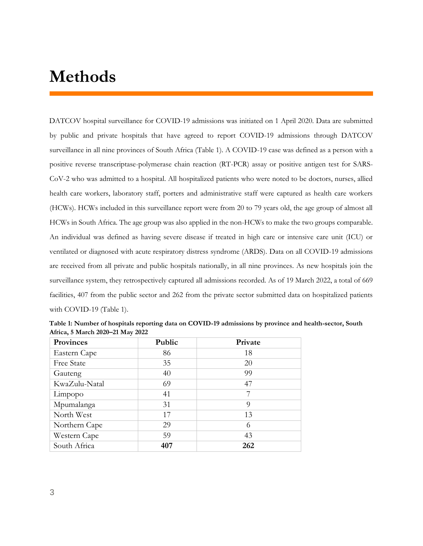# **Methods**

DATCOV hospital surveillance for COVID-19 admissions was initiated on 1 April 2020. Data are submitted by public and private hospitals that have agreed to report COVID-19 admissions through DATCOV surveillance in all nine provinces of South Africa (Table 1). A COVID-19 case was defined as a person with a positive reverse transcriptase-polymerase chain reaction (RT-PCR) assay or positive antigen test for SARS-CoV-2 who was admitted to a hospital. All hospitalized patients who were noted to be doctors, nurses, allied health care workers, laboratory staff, porters and administrative staff were captured as health care workers (HCWs). HCWs included in this surveillance report were from 20 to 79 years old, the age group of almost all HCWs in South Africa. The age group was also applied in the non-HCWs to make the two groups comparable. An individual was defined as having severe disease if treated in high care or intensive care unit (ICU) or ventilated or diagnosed with acute respiratory distress syndrome (ARDS). Data on all COVID-19 admissions are received from all private and public hospitals nationally, in all nine provinces. As new hospitals join the surveillance system, they retrospectively captured all admissions recorded. As of 19 March 2022, a total of 669 facilities, 407 from the public sector and 262 from the private sector submitted data on hospitalized patients with COVID-19 (Table 1).

| Provinces         | Public | Private |
|-------------------|--------|---------|
| Eastern Cape      | 86     | 18      |
| <b>Free State</b> | 35     | 20      |
| Gauteng           | 40     | 99      |
| KwaZulu-Natal     | 69     | 47      |
| Limpopo           | 41     | 7       |
| Mpumalanga        | 31     | 9       |
| North West        | 17     | 13      |
| Northern Cape     | 29     | 6       |
| Western Cape      | 59     | 43      |
| South Africa      | 407    | 262     |

**Table 1: Number of hospitals reporting data on COVID-19 admissions by province and health-sector, South Africa, 5 March 2020–21 May 2022**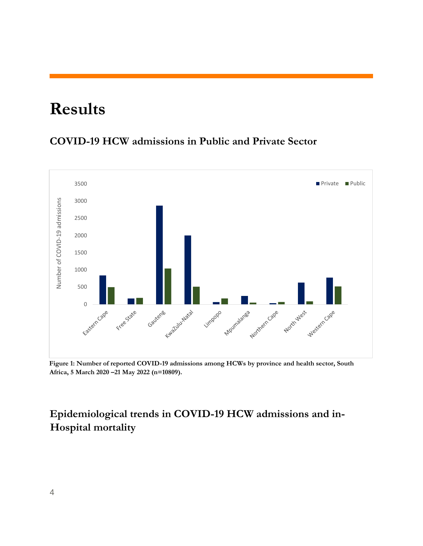# **Results**

#### **COVID-19 HCW admissions in Public and Private Sector**



**Figure 1: Number of reported COVID-19 admissions among HCWs by province and health sector, South Africa, 5 March 2020 –21 May 2022 (n=10809).**

## **Epidemiological trends in COVID-19 HCW admissions and in-Hospital mortality**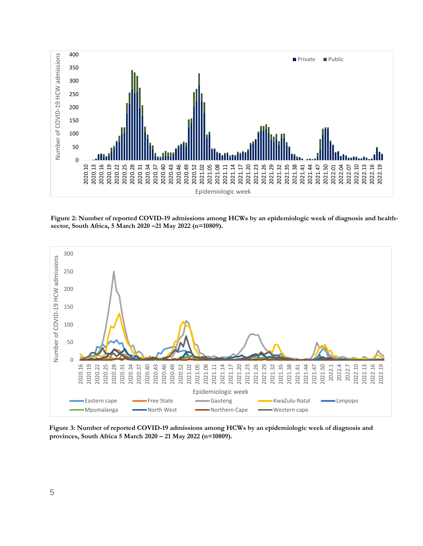

**Figure 2: Number of reported COVID-19 admissions among HCWs by an epidemiologic week of diagnosis and healthsector, South Africa, 5 March 2020 –21 May 2022 (n=10809).**



**Figure 3: Number of reported COVID-19 admissions among HCWs by an epidemiologic week of diagnosis and provinces, South Africa 5 March 2020 – 21 May 2022 (n=10809).**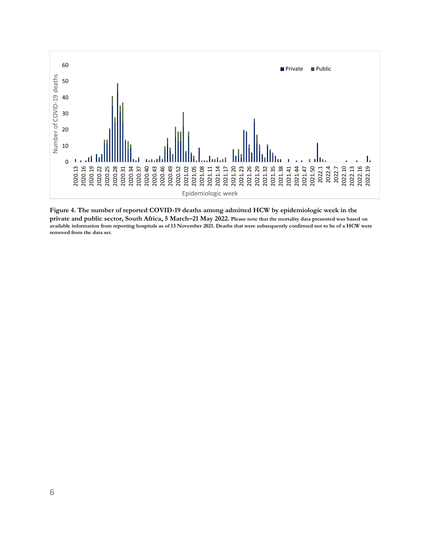

**Figure 4. The number of reported COVID-19 deaths among admitted HCW by epidemiologic week in the private and public sector, South Africa, 5 March–21 May 2022. Please note that the mortality data presented was based on available information from reporting hospitals as of 13 November 2021. Deaths that were subsequently confirmed not to be of a HCW were removed from the data set**.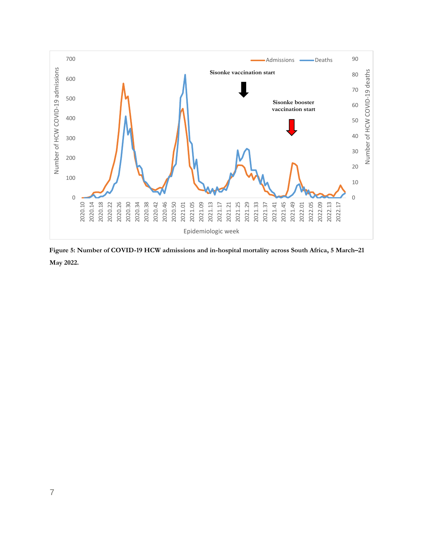

**Figure 5: Number of COVID-19 HCW admissions and in-hospital mortality across South Africa, 5 March–21 May 2022.**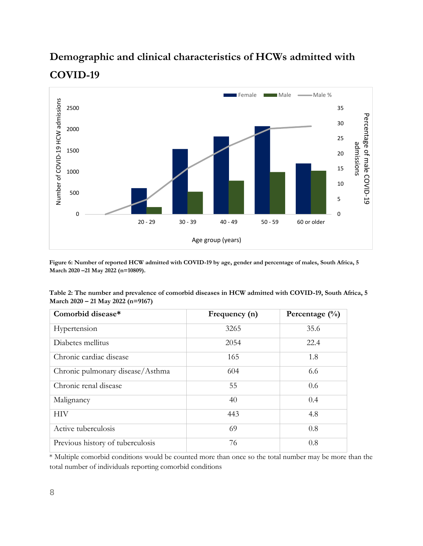## **Demographic and clinical characteristics of HCWs admitted with COVID-19**



**Figure 6: Number of reported HCW admitted with COVID-19 by age, gender and percentage of males, South Africa, 5 March 2020 –21 May 2022 (n=10809).**

| Table 2: The number and prevalence of comorbid diseases in HCW admitted with COVID-19, South Africa, 5 |  |
|--------------------------------------------------------------------------------------------------------|--|
| March 2020 – 21 May 2022 (n=9167)                                                                      |  |

| Comorbid disease*                | Frequency (n) | Percentage $(\frac{0}{0})$ |
|----------------------------------|---------------|----------------------------|
| Hypertension                     | 3265          | 35.6                       |
| Diabetes mellitus                | 2054          | 22.4                       |
| Chronic cardiac disease          | 165           | 1.8                        |
| Chronic pulmonary disease/Asthma | 604           | 6.6                        |
| Chronic renal disease            | 55            | 0.6                        |
| Malignancy                       | 40            | 0.4                        |
| <b>HIV</b>                       | 443           | 4.8                        |
| Active tuberculosis              | 69            | 0.8                        |
| Previous history of tuberculosis | 76            | 0.8                        |

\* Multiple comorbid conditions would be counted more than once so the total number may be more than the total number of individuals reporting comorbid conditions